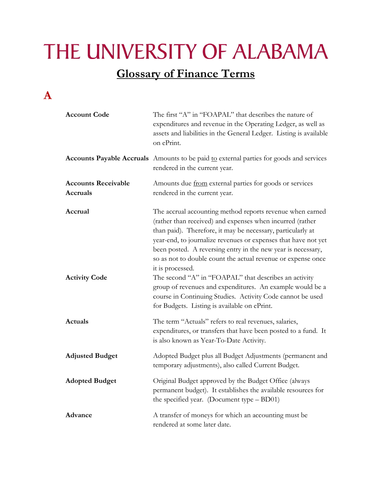# THE UNIVERSITY OF ALABAMA

#### **Glossary of Finance Terms**

#### **A**

| <b>Account Code</b>                    | The first "A" in "FOAPAL" that describes the nature of<br>expenditures and revenue in the Operating Ledger, as well as<br>assets and liabilities in the General Ledger. Listing is available<br>on ePrint.                                                                                                                                                                                                                                                                                                                                                                                                                                      |
|----------------------------------------|-------------------------------------------------------------------------------------------------------------------------------------------------------------------------------------------------------------------------------------------------------------------------------------------------------------------------------------------------------------------------------------------------------------------------------------------------------------------------------------------------------------------------------------------------------------------------------------------------------------------------------------------------|
|                                        | Accounts Payable Accruals Amounts to be paid to external parties for goods and services<br>rendered in the current year.                                                                                                                                                                                                                                                                                                                                                                                                                                                                                                                        |
| <b>Accounts Receivable</b><br>Accruals | Amounts due from external parties for goods or services<br>rendered in the current year.                                                                                                                                                                                                                                                                                                                                                                                                                                                                                                                                                        |
| Accrual<br><b>Activity Code</b>        | The accrual accounting method reports revenue when earned<br>(rather than received) and expenses when incurred (rather<br>than paid). Therefore, it may be necessary, particularly at<br>year-end, to journalize revenues or expenses that have not yet<br>been posted. A reversing entry in the new year is necessary,<br>so as not to double count the actual revenue or expense once<br>it is processed.<br>The second "A" in "FOAPAL" that describes an activity<br>group of revenues and expenditures. An example would be a<br>course in Continuing Studies. Activity Code cannot be used<br>for Budgets. Listing is available on ePrint. |
| Actuals                                | The term "Actuals" refers to real revenues, salaries,<br>expenditures, or transfers that have been posted to a fund. It<br>is also known as Year-To-Date Activity.                                                                                                                                                                                                                                                                                                                                                                                                                                                                              |
| <b>Adjusted Budget</b>                 | Adopted Budget plus all Budget Adjustments (permanent and<br>temporary adjustments), also called Current Budget.                                                                                                                                                                                                                                                                                                                                                                                                                                                                                                                                |
| <b>Adopted Budget</b>                  | Original Budget approved by the Budget Office (always<br>permanent budget). It establishes the available resources for<br>the specified year. (Document type $-$ BD01)                                                                                                                                                                                                                                                                                                                                                                                                                                                                          |
| Advance                                | A transfer of moneys for which an accounting must be<br>rendered at some later date.                                                                                                                                                                                                                                                                                                                                                                                                                                                                                                                                                            |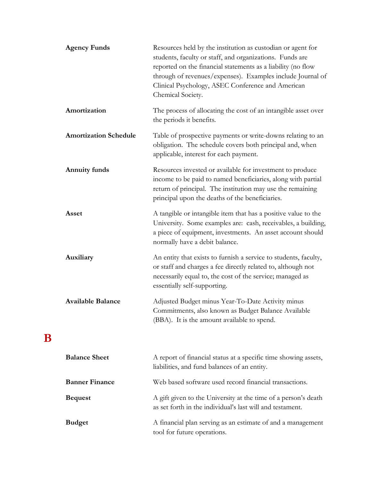| <b>Agency Funds</b>          | Resources held by the institution as custodian or agent for<br>students, faculty or staff, and organizations. Funds are<br>reported on the financial statements as a liability (no flow<br>through of revenues/expenses). Examples include Journal of<br>Clinical Psychology, ASEC Conference and American<br>Chemical Society. |
|------------------------------|---------------------------------------------------------------------------------------------------------------------------------------------------------------------------------------------------------------------------------------------------------------------------------------------------------------------------------|
| Amortization                 | The process of allocating the cost of an intangible asset over<br>the periods it benefits.                                                                                                                                                                                                                                      |
| <b>Amortization Schedule</b> | Table of prospective payments or write-downs relating to an<br>obligation. The schedule covers both principal and, when<br>applicable, interest for each payment.                                                                                                                                                               |
| <b>Annuity funds</b>         | Resources invested or available for investment to produce<br>income to be paid to named beneficiaries, along with partial<br>return of principal. The institution may use the remaining<br>principal upon the deaths of the beneficiaries.                                                                                      |
| Asset                        | A tangible or intangible item that has a positive value to the<br>University. Some examples are: cash, receivables, a building,<br>a piece of equipment, investments. An asset account should<br>normally have a debit balance.                                                                                                 |
| Auxiliary                    | An entity that exists to furnish a service to students, faculty,<br>or staff and charges a fee directly related to, although not<br>necessarily equal to, the cost of the service; managed as<br>essentially self-supporting.                                                                                                   |
| <b>Available Balance</b>     | Adjusted Budget minus Year-To-Date Activity minus<br>Commitments, also known as Budget Balance Available<br>(BBA). It is the amount available to spend.                                                                                                                                                                         |
| <b>Balance Sheet</b>         | A report of financial status at a specific time showing assets,<br>liabilities, and fund balances of an entity.                                                                                                                                                                                                                 |
| <b>Banner Finance</b>        | Web based software used record financial transactions.                                                                                                                                                                                                                                                                          |
| <b>Bequest</b>               | A gift given to the University at the time of a person's death<br>as set forth in the individual's last will and testament.                                                                                                                                                                                                     |
| <b>Budget</b>                | A financial plan serving as an estimate of and a management<br>tool for future operations.                                                                                                                                                                                                                                      |

**B**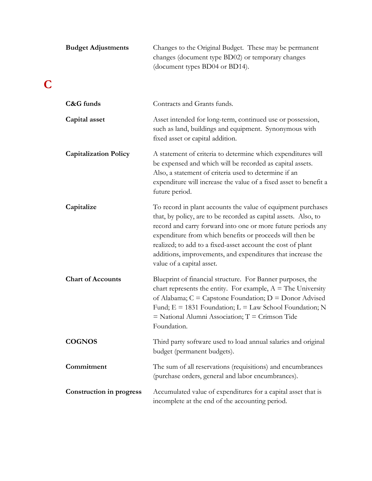| <b>Budget Adjustments</b>       | Changes to the Original Budget. These may be permanent<br>changes (document type BD02) or temporary changes<br>(document types BD04 or BD14).                                                                                                                                                                                                                                                                          |
|---------------------------------|------------------------------------------------------------------------------------------------------------------------------------------------------------------------------------------------------------------------------------------------------------------------------------------------------------------------------------------------------------------------------------------------------------------------|
| C&G funds                       | Contracts and Grants funds.                                                                                                                                                                                                                                                                                                                                                                                            |
| Capital asset                   | Asset intended for long-term, continued use or possession,<br>such as land, buildings and equipment. Synonymous with<br>fixed asset or capital addition.                                                                                                                                                                                                                                                               |
| <b>Capitalization Policy</b>    | A statement of criteria to determine which expenditures will<br>be expensed and which will be recorded as capital assets.<br>Also, a statement of criteria used to determine if an<br>expenditure will increase the value of a fixed asset to benefit a<br>future period.                                                                                                                                              |
| Capitalize                      | To record in plant accounts the value of equipment purchases<br>that, by policy, are to be recorded as capital assets. Also, to<br>record and carry forward into one or more future periods any<br>expenditure from which benefits or proceeds will then be<br>realized; to add to a fixed-asset account the cost of plant<br>additions, improvements, and expenditures that increase the<br>value of a capital asset. |
| <b>Chart of Accounts</b>        | Blueprint of financial structure. For Banner purposes, the<br>chart represents the entity. For example, $A =$ The University<br>of Alabama; $C =$ Capstone Foundation; $D =$ Donor Advised<br>Fund; $E = 1831$ Foundation; $L = Law$ School Foundation; N<br>$=$ National Alumni Association; $T =$ Crimson Tide<br>Foundation.                                                                                        |
| <b>COGNOS</b>                   | Third party software used to load annual salaries and original<br>budget (permanent budgets).                                                                                                                                                                                                                                                                                                                          |
| Commitment                      | The sum of all reservations (requisitions) and encumbrances<br>(purchase orders, general and labor encumbrances).                                                                                                                                                                                                                                                                                                      |
| <b>Construction in progress</b> | Accumulated value of expenditures for a capital asset that is<br>incomplete at the end of the accounting period.                                                                                                                                                                                                                                                                                                       |

**C**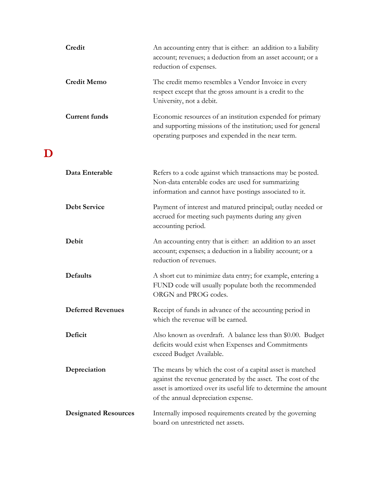| Credit                      | An accounting entry that is either: an addition to a liability<br>account; revenues; a deduction from an asset account; or a<br>reduction of expenses.                                                                             |
|-----------------------------|------------------------------------------------------------------------------------------------------------------------------------------------------------------------------------------------------------------------------------|
| <b>Credit Memo</b>          | The credit memo resembles a Vendor Invoice in every<br>respect except that the gross amount is a credit to the<br>University, not a debit.                                                                                         |
| <b>Current funds</b>        | Economic resources of an institution expended for primary<br>and supporting missions of the institution; used for general<br>operating purposes and expended in the near term.                                                     |
|                             |                                                                                                                                                                                                                                    |
| Data Enterable              | Refers to a code against which transactions may be posted.<br>Non-data enterable codes are used for summarizing<br>information and cannot have postings associated to it.                                                          |
| <b>Debt Service</b>         | Payment of interest and matured principal; outlay needed or<br>accrued for meeting such payments during any given<br>accounting period.                                                                                            |
| Debit                       | An accounting entry that is either: an addition to an asset<br>account; expenses; a deduction in a liability account; or a<br>reduction of revenues.                                                                               |
| <b>Defaults</b>             | A short cut to minimize data entry; for example, entering a<br>FUND code will usually populate both the recommended<br>ORGN and PROG codes.                                                                                        |
| <b>Deferred Revenues</b>    | Receipt of funds in advance of the accounting period in<br>which the revenue will be earned.                                                                                                                                       |
| Deficit                     | Also known as overdraft. A balance less than \$0.00. Budget<br>deficits would exist when Expenses and Commitments<br>exceed Budget Available.                                                                                      |
| Depreciation                | The means by which the cost of a capital asset is matched<br>against the revenue generated by the asset. The cost of the<br>asset is amortized over its useful life to determine the amount<br>of the annual depreciation expense. |
| <b>Designated Resources</b> | Internally imposed requirements created by the governing<br>board on unrestricted net assets.                                                                                                                                      |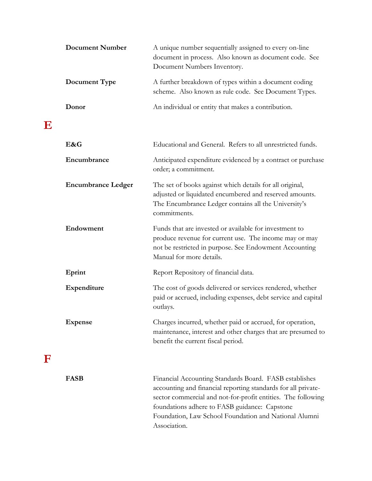| <b>Document Number</b>    | A unique number sequentially assigned to every on-line<br>document in process. Also known as document code. See<br>Document Numbers Inventory.                                                                                                                                                                    |
|---------------------------|-------------------------------------------------------------------------------------------------------------------------------------------------------------------------------------------------------------------------------------------------------------------------------------------------------------------|
| Document Type             | A further breakdown of types within a document coding<br>scheme. Also known as rule code. See Document Types.                                                                                                                                                                                                     |
| Donor                     | An individual or entity that makes a contribution.                                                                                                                                                                                                                                                                |
| E&G                       | Educational and General. Refers to all unrestricted funds.                                                                                                                                                                                                                                                        |
| Encumbrance               | Anticipated expenditure evidenced by a contract or purchase<br>order; a commitment.                                                                                                                                                                                                                               |
| <b>Encumbrance Ledger</b> | The set of books against which details for all original,<br>adjusted or liquidated encumbered and reserved amounts.<br>The Encumbrance Ledger contains all the University's<br>commitments.                                                                                                                       |
| Endowment                 | Funds that are invested or available for investment to<br>produce revenue for current use. The income may or may<br>not be restricted in purpose. See Endowment Accounting<br>Manual for more details.                                                                                                            |
| Eprint                    | Report Repository of financial data.                                                                                                                                                                                                                                                                              |
| Expenditure               | The cost of goods delivered or services rendered, whether<br>paid or accrued, including expenses, debt service and capital<br>outlays.                                                                                                                                                                            |
| <b>Expense</b>            | Charges incurred, whether paid or accrued, for operation,<br>maintenance, interest and other charges that are presumed to<br>benefit the current fiscal period.                                                                                                                                                   |
| <b>FASB</b>               | Financial Accounting Standards Board. FASB establishes<br>accounting and financial reporting standards for all private-<br>sector commercial and not-for-profit entities. The following<br>foundations adhere to FASB guidance: Capstone<br>Foundation, Law School Foundation and National Alumni<br>Association. |

**E**

**F**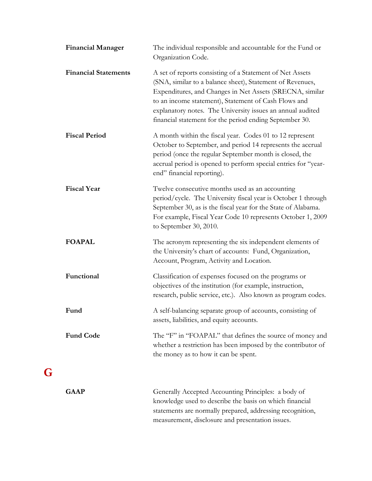| <b>Financial Manager</b>    | The individual responsible and accountable for the Fund or<br>Organization Code.                                                                                                                                                                                                                                                                                   |
|-----------------------------|--------------------------------------------------------------------------------------------------------------------------------------------------------------------------------------------------------------------------------------------------------------------------------------------------------------------------------------------------------------------|
| <b>Financial Statements</b> | A set of reports consisting of a Statement of Net Assets<br>(SNA, similar to a balance sheet), Statement of Revenues,<br>Expenditures, and Changes in Net Assets (SRECNA, similar<br>to an income statement), Statement of Cash Flows and<br>explanatory notes. The University issues an annual audited<br>financial statement for the period ending September 30. |
| <b>Fiscal Period</b>        | A month within the fiscal year. Codes 01 to 12 represent<br>October to September, and period 14 represents the accrual<br>period (once the regular September month is closed, the<br>accrual period is opened to perform special entries for "year-<br>end" financial reporting).                                                                                  |
| <b>Fiscal Year</b>          | Twelve consecutive months used as an accounting<br>period/cycle. The University fiscal year is October 1 through<br>September 30, as is the fiscal year for the State of Alabama.<br>For example, Fiscal Year Code 10 represents October 1, 2009<br>to September 30, 2010.                                                                                         |
| <b>FOAPAL</b>               | The acronym representing the six independent elements of<br>the University's chart of accounts: Fund, Organization,<br>Account, Program, Activity and Location.                                                                                                                                                                                                    |
| Functional                  | Classification of expenses focused on the programs or<br>objectives of the institution (for example, instruction,<br>research, public service, etc.). Also known as program codes.                                                                                                                                                                                 |
| Fund                        | A self-balancing separate group of accounts, consisting of<br>assets, liabilities, and equity accounts.                                                                                                                                                                                                                                                            |
| <b>Fund Code</b>            | The "F" in "FOAPAL" that defines the source of money and<br>whether a restriction has been imposed by the contributor of<br>the money as to how it can be spent.                                                                                                                                                                                                   |
| <b>GAAP</b>                 | Generally Accepted Accounting Principles: a body of<br>knowledge used to describe the basis on which financial<br>statements are normally prepared, addressing recognition,<br>measurement, disclosure and presentation issues.                                                                                                                                    |

**G**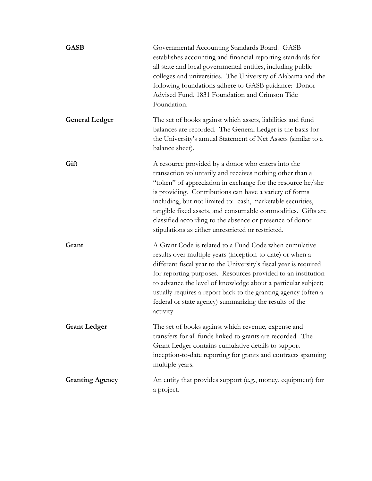| <b>GASB</b>            | Governmental Accounting Standards Board. GASB<br>establishes accounting and financial reporting standards for<br>all state and local governmental entities, including public<br>colleges and universities. The University of Alabama and the<br>following foundations adhere to GASB guidance: Donor<br>Advised Fund, 1831 Foundation and Crimson Tide<br>Foundation.                                                                                                                      |
|------------------------|--------------------------------------------------------------------------------------------------------------------------------------------------------------------------------------------------------------------------------------------------------------------------------------------------------------------------------------------------------------------------------------------------------------------------------------------------------------------------------------------|
| <b>General Ledger</b>  | The set of books against which assets, liabilities and fund<br>balances are recorded. The General Ledger is the basis for<br>the University's annual Statement of Net Assets (similar to a<br>balance sheet).                                                                                                                                                                                                                                                                              |
| Gift                   | A resource provided by a donor who enters into the<br>transaction voluntarily and receives nothing other than a<br>"token" of appreciation in exchange for the resource he/she<br>is providing. Contributions can have a variety of forms<br>including, but not limited to: cash, marketable securities,<br>tangible fixed assets, and consumable commodities. Gifts are<br>classified according to the absence or presence of donor<br>stipulations as either unrestricted or restricted. |
| Grant                  | A Grant Code is related to a Fund Code when cumulative<br>results over multiple years (inception-to-date) or when a<br>different fiscal year to the University's fiscal year is required<br>for reporting purposes. Resources provided to an institution<br>to advance the level of knowledge about a particular subject;<br>usually requires a report back to the granting agency (often a<br>federal or state agency) summarizing the results of the<br>activity.                        |
| <b>Grant Ledger</b>    | The set of books against which revenue, expense and<br>transfers for all funds linked to grants are recorded. The<br>Grant Ledger contains cumulative details to support<br>inception-to-date reporting for grants and contracts spanning<br>multiple years.                                                                                                                                                                                                                               |
| <b>Granting Agency</b> | An entity that provides support (e.g., money, equipment) for<br>a project.                                                                                                                                                                                                                                                                                                                                                                                                                 |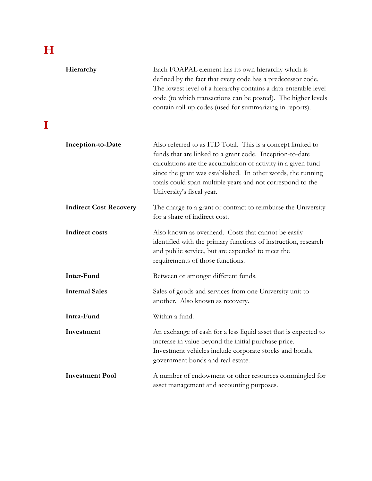## **H**

**I**

| Hierarchy                     | Each FOAPAL element has its own hierarchy which is<br>defined by the fact that every code has a predecessor code.<br>The lowest level of a hierarchy contains a data-enterable level<br>code (to which transactions can be posted). The higher levels<br>contain roll-up codes (used for summarizing in reports).                                   |
|-------------------------------|-----------------------------------------------------------------------------------------------------------------------------------------------------------------------------------------------------------------------------------------------------------------------------------------------------------------------------------------------------|
| Inception-to-Date             | Also referred to as ITD Total. This is a concept limited to<br>funds that are linked to a grant code. Inception-to-date<br>calculations are the accumulation of activity in a given fund<br>since the grant was established. In other words, the running<br>totals could span multiple years and not correspond to the<br>University's fiscal year. |
| <b>Indirect Cost Recovery</b> | The charge to a grant or contract to reimburse the University<br>for a share of indirect cost.                                                                                                                                                                                                                                                      |
| <b>Indirect costs</b>         | Also known as overhead. Costs that cannot be easily<br>identified with the primary functions of instruction, research<br>and public service, but are expended to meet the<br>requirements of those functions.                                                                                                                                       |
| Inter-Fund                    | Between or amongst different funds.                                                                                                                                                                                                                                                                                                                 |
| <b>Internal Sales</b>         | Sales of goods and services from one University unit to<br>another. Also known as recovery.                                                                                                                                                                                                                                                         |
| Intra-Fund                    | Within a fund.                                                                                                                                                                                                                                                                                                                                      |
| Investment                    | An exchange of cash for a less liquid asset that is expected to<br>increase in value beyond the initial purchase price.<br>Investment vehicles include corporate stocks and bonds,<br>government bonds and real estate.                                                                                                                             |
| <b>Investment Pool</b>        | A number of endowment or other resources commingled for<br>asset management and accounting purposes.                                                                                                                                                                                                                                                |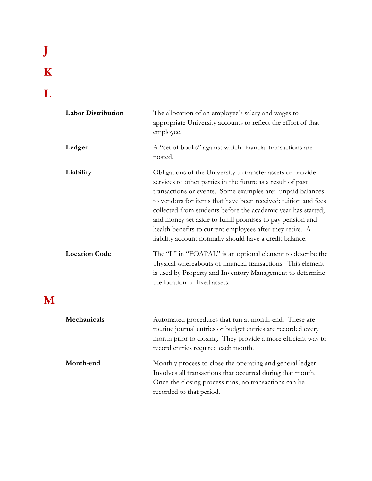## **J K**

**L**

**M**

**Labor Distribution** The allocation of an employee's salary and wages to appropriate University accounts to reflect the effort of that employee. **Ledger** A "set of books" against which financial transactions are posted. **Liability** Obligations of the University to transfer assets or provide services to other parties in the future as a result of past transactions or events. Some examples are: unpaid balances to vendors for items that have been received; tuition and fees collected from students before the academic year has started; and money set aside to fulfill promises to pay pension and health benefits to current employees after they retire. A liability account normally should have a credit balance. Location Code The "L" in "FOAPAL" is an optional element to describe the physical whereabouts of financial transactions. This element is used by Property and Inventory Management to determine the location of fixed assets. **Mechanicals** Automated procedures that run at month-end. These are

routine journal entries or budget entries are recorded every month prior to closing. They provide a more efficient way to record entries required each month. **Month-end** Monthly process to close the operating and general ledger. Involves all transactions that occurred during that month. Once the closing process runs, no transactions can be recorded to that period.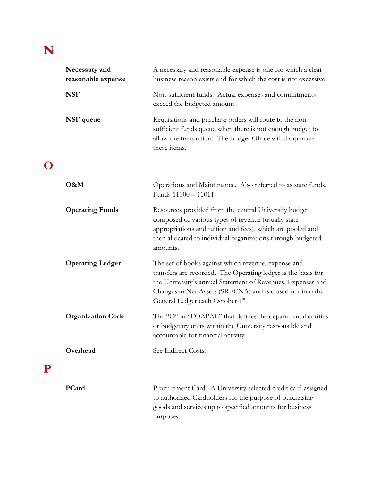### **N**

**O**

**P**

| Necessary and<br>reasonable expense | A necessary and reasonable expense is one for which a clear<br>business reason exists and for which the cost is not excessive.                                                                                                                                                       |
|-------------------------------------|--------------------------------------------------------------------------------------------------------------------------------------------------------------------------------------------------------------------------------------------------------------------------------------|
| <b>NSF</b>                          | Non-sufficient funds. Actual expenses and commitments<br>exceed the budgeted amount.                                                                                                                                                                                                 |
| NSF queue                           | Requisitions and purchase orders will route to the non-<br>sufficient funds queue when there is not enough budget to<br>allow the transaction. The Budget Office will disapprove<br>these items.                                                                                     |
| O&M                                 | Operations and Maintenance. Also referred to as state funds.<br>Funds 11000 - 11011.                                                                                                                                                                                                 |
| <b>Operating Funds</b>              | Resources provided from the central University budget,<br>composed of various types of revenue (usually state<br>appropriations and tuition and fees), which are pooled and<br>then allocated to individual organizations through budgeted<br>amounts.                               |
| <b>Operating Ledger</b>             | The set of books against which revenue, expense and<br>transfers are recorded. The Operating ledger is the basis for<br>the University's annual Statement of Revenues, Expenses and<br>Changes in Net Assets (SRECNA) and is closed out into the<br>General Ledger each October 1st. |
| <b>Organization Code</b>            | The "O" in "FOAPAL" that defines the departmental entities<br>or budgetary units within the University responsible and<br>accountable for financial activity.                                                                                                                        |
| Overhead                            | See Indirect Costs.                                                                                                                                                                                                                                                                  |
| PCard                               | Procurement Card. A University selected credit card assigned<br>to authorized Cardholders for the purpose of purchasing<br>goods and services up to specified amounts for business<br>purposes.                                                                                      |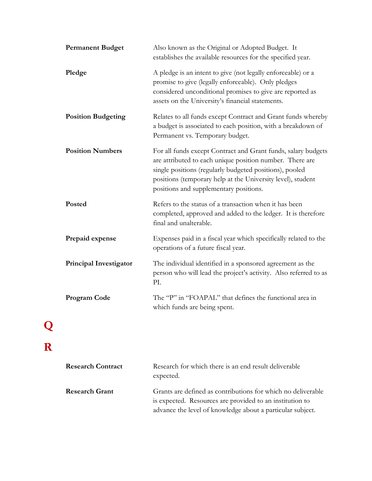| <b>Permanent Budget</b>       | Also known as the Original or Adopted Budget. It<br>establishes the available resources for the specified year.                                                                                                                                                                               |
|-------------------------------|-----------------------------------------------------------------------------------------------------------------------------------------------------------------------------------------------------------------------------------------------------------------------------------------------|
| Pledge                        | A pledge is an intent to give (not legally enforceable) or a<br>promise to give (legally enforceable). Only pledges<br>considered unconditional promises to give are reported as<br>assets on the University's financial statements.                                                          |
| <b>Position Budgeting</b>     | Relates to all funds except Contract and Grant funds whereby<br>a budget is associated to each position, with a breakdown of<br>Permanent vs. Temporary budget.                                                                                                                               |
| <b>Position Numbers</b>       | For all funds except Contract and Grant funds, salary budgets<br>are attributed to each unique position number. There are<br>single positions (regularly budgeted positions), pooled<br>positions (temporary help at the University level), student<br>positions and supplementary positions. |
| Posted                        | Refers to the status of a transaction when it has been<br>completed, approved and added to the ledger. It is therefore<br>final and unalterable.                                                                                                                                              |
| Prepaid expense               | Expenses paid in a fiscal year which specifically related to the<br>operations of a future fiscal year.                                                                                                                                                                                       |
| <b>Principal Investigator</b> | The individual identified in a sponsored agreement as the<br>person who will lead the project's activity. Also referred to as<br>PI.                                                                                                                                                          |
| <b>Program Code</b>           | The "P" in "FOAPAL" that defines the functional area in<br>which funds are being spent.                                                                                                                                                                                                       |
|                               |                                                                                                                                                                                                                                                                                               |
| <b>Research Contract</b>      | Research for which there is an end result deliverable<br>expected.                                                                                                                                                                                                                            |

| Research Grant | Grants are defined as contributions for which no deliverable |
|----------------|--------------------------------------------------------------|
|                | is expected. Resources are provided to an institution to     |
|                | advance the level of knowledge about a particular subject.   |

**Q**

**R**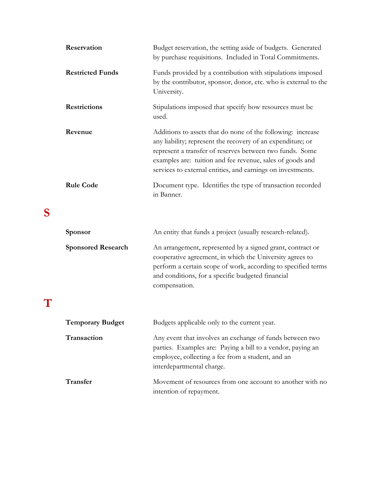| Reservation             | Budget reservation, the setting aside of budgets. Generated<br>by purchase requisitions. Included in Total Commitments.                                                                                                                                                                                            |
|-------------------------|--------------------------------------------------------------------------------------------------------------------------------------------------------------------------------------------------------------------------------------------------------------------------------------------------------------------|
| <b>Restricted Funds</b> | Funds provided by a contribution with stipulations imposed<br>by the contributor, sponsor, donor, etc. who is external to the<br>University.                                                                                                                                                                       |
| <b>Restrictions</b>     | Stipulations imposed that specify how resources must be<br>used.                                                                                                                                                                                                                                                   |
| Revenue                 | Additions to assets that do none of the following: increase<br>any liability; represent the recovery of an expenditure; or<br>represent a transfer of reserves between two funds. Some<br>examples are: tuition and fee revenue, sales of goods and<br>services to external entities, and earnings on investments. |
| <b>Rule Code</b>        | Document type. Identifies the type of transaction recorded<br>in Banner.                                                                                                                                                                                                                                           |

### **S**

| <b>Sponsor</b> |                           | An entity that funds a project (usually research-related).                                                                                                                                                                                                    |
|----------------|---------------------------|---------------------------------------------------------------------------------------------------------------------------------------------------------------------------------------------------------------------------------------------------------------|
|                | <b>Sponsored Research</b> | An arrangement, represented by a signed grant, contract or<br>cooperative agreement, in which the University agrees to<br>perform a certain scope of work, according to specified terms<br>and conditions, for a specific budgeted financial<br>compensation. |
|                |                           |                                                                                                                                                                                                                                                               |

| <b>Temporary Budget</b> | Budgets applicable only to the current year.                                                                                                                                                              |
|-------------------------|-----------------------------------------------------------------------------------------------------------------------------------------------------------------------------------------------------------|
| <b>Transaction</b>      | Any event that involves an exchange of funds between two<br>parties. Examples are: Paying a bill to a vendor, paying an<br>employee, collecting a fee from a student, and an<br>interdepartmental charge. |
| Transfer                | Movement of resources from one account to another with no<br>intention of repayment.                                                                                                                      |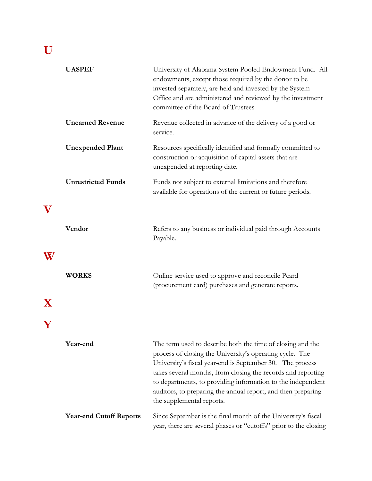### **U**

|          | <b>UASPEF</b>                  | University of Alabama System Pooled Endowment Fund. All<br>endowments, except those required by the donor to be<br>invested separately, are held and invested by the System<br>Office and are administered and reviewed by the investment<br>committee of the Board of Trustees.                                                                                                                                |
|----------|--------------------------------|-----------------------------------------------------------------------------------------------------------------------------------------------------------------------------------------------------------------------------------------------------------------------------------------------------------------------------------------------------------------------------------------------------------------|
|          | <b>Unearned Revenue</b>        | Revenue collected in advance of the delivery of a good or<br>service.                                                                                                                                                                                                                                                                                                                                           |
|          | <b>Unexpended Plant</b>        | Resources specifically identified and formally committed to<br>construction or acquisition of capital assets that are<br>unexpended at reporting date.                                                                                                                                                                                                                                                          |
|          | <b>Unrestricted Funds</b>      | Funds not subject to external limitations and therefore<br>available for operations of the current or future periods.                                                                                                                                                                                                                                                                                           |
|          |                                |                                                                                                                                                                                                                                                                                                                                                                                                                 |
|          | Vendor                         | Refers to any business or individual paid through Accounts<br>Payable.                                                                                                                                                                                                                                                                                                                                          |
| W        |                                |                                                                                                                                                                                                                                                                                                                                                                                                                 |
|          | <b>WORKS</b>                   | Online service used to approve and reconcile Pcard<br>(procurement card) purchases and generate reports.                                                                                                                                                                                                                                                                                                        |
| $\bf{X}$ |                                |                                                                                                                                                                                                                                                                                                                                                                                                                 |
|          |                                |                                                                                                                                                                                                                                                                                                                                                                                                                 |
|          | Year-end                       | The term used to describe both the time of closing and the<br>process of closing the University's operating cycle. The<br>University's fiscal year-end is September 30. The process<br>takes several months, from closing the records and reporting<br>to departments, to providing information to the independent<br>auditors, to preparing the annual report, and then preparing<br>the supplemental reports. |
|          | <b>Year-end Cutoff Reports</b> | Since September is the final month of the University's fiscal<br>year, there are several phases or "cutoffs" prior to the closing                                                                                                                                                                                                                                                                               |